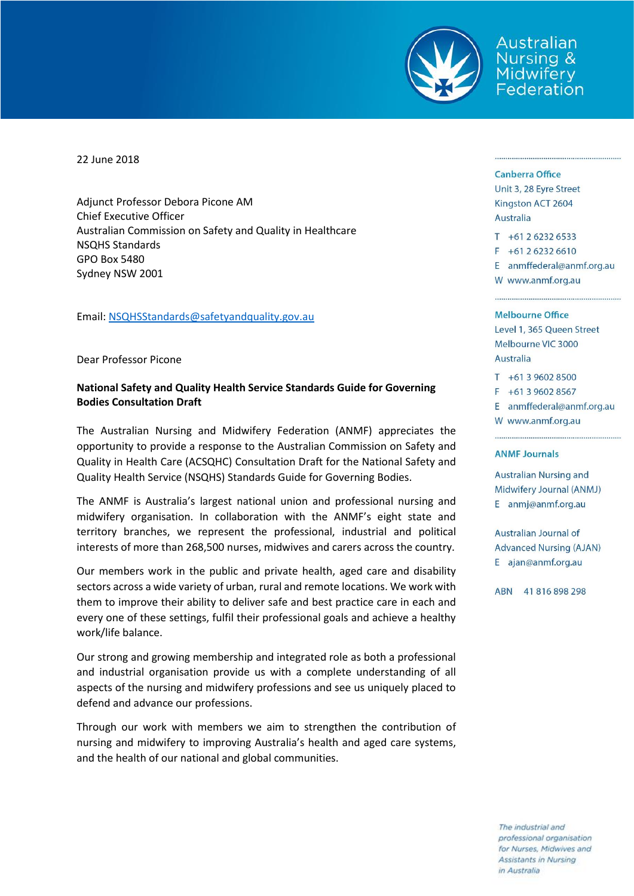

Australian Nursina & Midwifery Federation

22 June 2018

Adjunct Professor Debora Picone AM Chief Executive Officer Australian Commission on Safety and Quality in Healthcare NSQHS Standards GPO Box 5480 Sydney NSW 2001

Email: [NSQHSStandards@safetyandquality.gov.au](mailto:NSQHSStandards@safetyandquality.gov.au)

Dear Professor Picone

## **National Safety and Quality Health Service Standards Guide for Governing Bodies Consultation Draft**

The Australian Nursing and Midwifery Federation (ANMF) appreciates the opportunity to provide a response to the Australian Commission on Safety and Quality in Health Care (ACSQHC) Consultation Draft for the National Safety and Quality Health Service (NSQHS) Standards Guide for Governing Bodies.

The ANMF is Australia's largest national union and professional nursing and midwifery organisation. In collaboration with the ANMF's eight state and territory branches, we represent the professional, industrial and political interests of more than 268,500 nurses, midwives and carers across the country.

Our members work in the public and private health, aged care and disability sectors across a wide variety of urban, rural and remote locations. We work with them to improve their ability to deliver safe and best practice care in each and every one of these settings, fulfil their professional goals and achieve a healthy work/life balance.

Our strong and growing membership and integrated role as both a professional and industrial organisation provide us with a complete understanding of all aspects of the nursing and midwifery professions and see us uniquely placed to defend and advance our professions.

Through our work with members we aim to strengthen the contribution of nursing and midwifery to improving Australia's health and aged care systems, and the health of our national and global communities.

## **Canberra Office**

Unit 3, 28 Eyre Street Kingston ACT 2604 **Australia** 

 $T + 61262326533$  $F + 61262326610$ 

E anmffederal@anmf.org.au

W www.anmf.org.au

## Melbourne Office

Level 1, 365 Queen Street Melbourne VIC 3000 **Australia** 

 $T + 61396028500$ 

 $F + 61396028567$ 

E anmffederal@anmf.org.au

W www.anmf.org.au

## **ANMF Journals**

**Australian Nursing and** Midwifery Journal (ANMJ) E anmj@anmf.org.au

Australian Journal of **Advanced Nursing (AJAN)** E ajan@anmf.org.au

ABN 41816898298

The industrial and professional organisation for Nurses, Midwives and Assistants in Nursing in Australia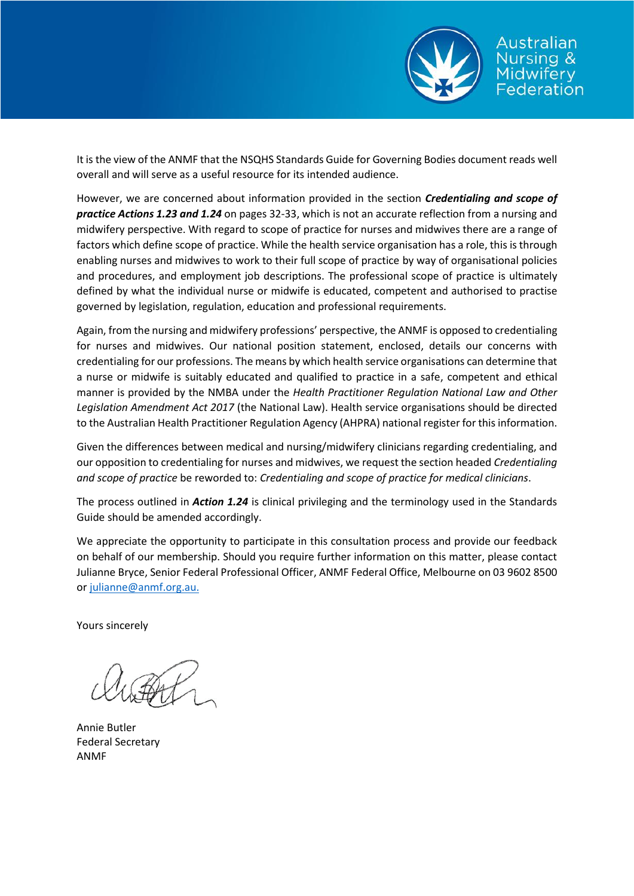

Australian ursina & idwifery ederation

It is the view of the ANMF that the NSQHS Standards Guide for Governing Bodies document reads well overall and will serve as a useful resource for its intended audience.

However, we are concerned about information provided in the section *Credentialing and scope of practice Actions 1.23 and 1.24* on pages 32-33, which is not an accurate reflection from a nursing and midwifery perspective. With regard to scope of practice for nurses and midwives there are a range of factors which define scope of practice. While the health service organisation has a role, this is through enabling nurses and midwives to work to their full scope of practice by way of organisational policies and procedures, and employment job descriptions. The professional scope of practice is ultimately defined by what the individual nurse or midwife is educated, competent and authorised to practise governed by legislation, regulation, education and professional requirements.

Again, from the nursing and midwifery professions' perspective, the ANMF is opposed to credentialing for nurses and midwives. Our national position statement, enclosed, details our concerns with credentialing for our professions. The means by which health service organisations can determine that a nurse or midwife is suitably educated and qualified to practice in a safe, competent and ethical manner is provided by the NMBA under the *Health Practitioner Regulation National Law and Other Legislation Amendment Act 2017* (the National Law). Health service organisations should be directed to the Australian Health Practitioner Regulation Agency (AHPRA) national register for this information.

Given the differences between medical and nursing/midwifery clinicians regarding credentialing, and our opposition to credentialing for nurses and midwives, we request the section headed *Credentialing and scope of practice* be reworded to: *Credentialing and scope of practice for medical clinicians*.

The process outlined in *Action 1.24* is clinical privileging and the terminology used in the Standards Guide should be amended accordingly.

We appreciate the opportunity to participate in this consultation process and provide our feedback on behalf of our membership. Should you require further information on this matter, please contact Julianne Bryce, Senior Federal Professional Officer, ANMF Federal Office, Melbourne on 03 9602 8500 or [julianne@anmf.org.au.](mailto:julianne@anmf.org.au)

Yours sincerely

Annie Butler Federal Secretary ANMF